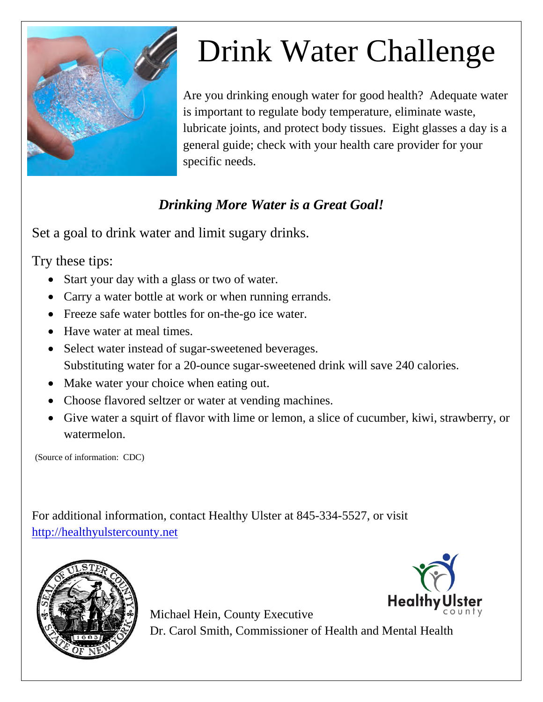

## Drink Water Challenge

Are you drinking enough water for good health? Adequate water is important to regulate body temperature, eliminate waste, lubricate joints, and protect body tissues. Eight glasses a day is a general guide; check with your health care provider for your specific needs.

## *Drinking More Water is a Great Goal!*

Set a goal to drink water and limit sugary drinks.

Try these tips:

- Start your day with a glass or two of water.
- Carry a water bottle at work or when running errands.
- Freeze safe water bottles for on-the-go ice water.
- Have water at meal times.
- Select water instead of sugar-sweetened beverages. Substituting water for a 20-ounce sugar-sweetened drink will save 240 calories.
- Make water your choice when eating out.
- Choose flavored seltzer or water at vending machines.
- Give water a squirt of flavor with lime or lemon, a slice of cucumber, kiwi, strawberry, or watermelon.

(Source of information: CDC)

For additional information, contact Healthy Ulster at 845-334-5527, or visit http://healthyulstercounty.net



**Health** Michael Hein, County Executive Dr. Carol Smith, Commissioner of Health and Mental Health